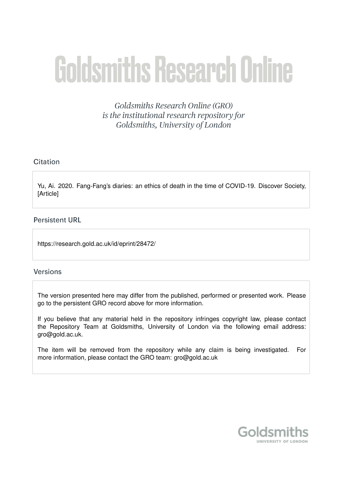# **Goldsmiths Research Online**

Goldsmiths Research Online (GRO) is the institutional research repository for Goldsmiths, University of London

# Citation

Yu, Ai. 2020. Fang-Fang's diaries: an ethics of death in the time of COVID-19. Discover Society, [Article]

**Persistent URL** 

https://research.gold.ac.uk/id/eprint/28472/

# **Versions**

The version presented here may differ from the published, performed or presented work. Please go to the persistent GRO record above for more information.

If you believe that any material held in the repository infringes copyright law, please contact the Repository Team at Goldsmiths, University of London via the following email address: gro@gold.ac.uk.

The item will be removed from the repository while any claim is being investigated. For more information, please contact the GRO team: gro@gold.ac.uk

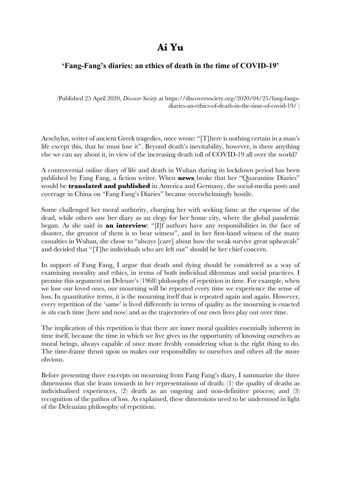# **Ai Yu**

# **'Fang-Fang's diaries: an ethics of death in the time of COVID-19'**

(Published 25 April 2020, *Discover Society* at https://discoversociety.org/2020/04/25/fang-fangsdiaries-an-ethics-of-death-in-the-time-of-covid-19/ )

Aeschylus, writer of ancient Greek tragedies, once wrote: "[T]here is nothing certain in a man's life except this, that he must lose it". Beyond death's inevitability, however, is there anything else we can say about it, in view of the increasing death toll of COVID-19 all over the world?

A controversial online diary of life and death in Wuhan during its lockdown period has been published by Fang Fang, a fiction writer. When **news** broke that her "Quarantine Diaries" would be **translated and published** in America and Germany, the social-media posts and coverage in China on "Fang Fang's Diaries" became overwhelmingly hostile.

Some challenged her moral authority, charging her with seeking fame at the expense of the dead, while others saw her diary as an elegy for her home city, where the global pandemic began. As she said in **an interview**: "[I]f authors have any responsibilities in the face of disaster, the greatest of them is to bear witness", and in her first-hand witness of the many casualties in Wuhan, she chose to "always [care] about how the weak survive great upheavals" and decided that "[T]he individuals who are left out" should be her chief concern.

In support of Fang Fang, I argue that death and dying should be considered as a way of examining morality and ethics, in terms of both individual dilemmas and social practices. I premise this argument on Deleuze's (1968) philosophy of repetition in time. For example, when we lose our loved ones, our mourning will be repeated every time we experience the sense of loss. In quantitative terms, it is the mourning itself that is repeated again and again. However, every repetition of the 'same' is lived differently in terms of quality as the mourning is enacted *in situ* each time (here and now) and as the trajectories of our own lives play out over time.

The implication of this repetition is that there are inner moral qualities essentially inherent in time itself, because the time in which we live gives us the opportunity of knowing ourselves as moral beings, always capable of once more freshly considering what is the right thing to do. The time-frame thrust upon us makes our responsibility to ourselves and others all the more obvious.

Before presenting three excerpts on mourning from Fang Fang's diary, I summarize the three dimensions that she leans towards in her representations of death: (1) the quality of deaths as individualised experiences, (2) death as an ongoing and non-definitive process; and (3) recognition of the pathos of loss. As explained, these dimensions need to be understood in light of the Deleuzian philosophy of repetition.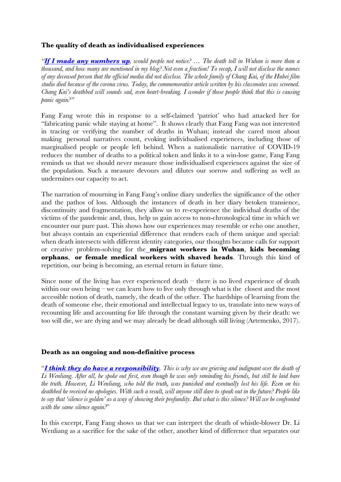# **The quality of death as individualised experiences**

*"If I made any numbers up, would people not notice? … The death toll in Wuhan is more than a thousand, and how many are mentioned in my blog? Not even a fraction! To recap, I will not disclose the names of any deceased person that the official media did not disclose. The whole family of Chang Kai, of the Hubei film studio died because of the corona virus. Today, the commemorative article written by his classmates was screened. Chang Kai's deathbed will sounds sad, even heart-breaking. I wonder if those people think that this is causing panic again?"*

Fang Fang wrote this in response to a self-claimed 'patriot' who had attacked her for "fabricating panic while staying at home". It shows clearly that Fang Fang was not interested in tracing or verifying the number of deaths in Wuhan; instead she cared most about making personal narratives count, evoking individualised experiences, including those of marginalised people or people left behind. When a nationalistic narrative of COVID-19 reduces the number of deaths to a political token and links it to a win-lose game, Fang Fang reminds us that we should never measure those individualised experiences against the size of the population. Such a measure devours and dilutes our sorrow and suffering as well as undermines our capacity to act.

The narration of mourning in Fang Fang's online diary underlies the significance of the other and the pathos of loss. Although the instances of death in her diary betoken transience, discontinuity and fragmentation, they allow us to re-experience the individual deaths of the victims of the pandemic and, thus, help us gain access to non-chronological time in which we encounter our pure past. This shows how our experiences may resemble or echo one another, but always contain an experiential difference that renders each of them unique and special: when death intersects with different identity categories, our thoughts became calls for support or creative problem-solving for the **migrant workers in Wuhan**, **kids becoming orphans**, **or female medical workers with shaved heads**. Through this kind of repetition, our being is becoming, an eternal return in future time.

Since none of the living has ever experienced death  $-$  there is no lived experience of death within our own being – we can learn how to live only through what is the closest and the most accessible notion of death, namely, the death of the other. The hardships of learning from the death of someone else, their emotional and intellectual legacy to us, translate into new ways of recounting life and accounting for life through the constant warning given by their death: we too will die, we are dying and we may already be dead although still living (Artemenko, 2017).

#### **Death as an ongoing and non-definitive process**

"*I think they do have a responsibility. This is why we are grieving and indignant over the death of Li Wenliang. After all, he spoke out first, even though he was only reminding his friends, but still he laid bare the truth. However, Li Wenliang, who told the truth, was punished and eventually lost his life. Even on his deathbed he received no apologies. With such a result, will anyone still dare to speak out in the future? People like to say that 'silence is golden' as a way of showing their profundity. But what is this silence? Will we be confronted with the same silence again?*"

In this excerpt, Fang Fang shows us that we can interpret the death of whistle-blower Dr. Li Wenliang as a sacrifice for the sake of the other, another kind of difference that separates our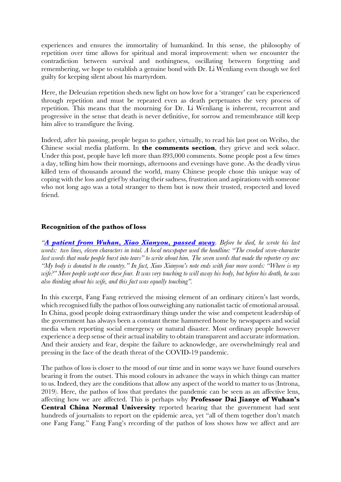experiences and ensures the immortality of humankind. In this sense, the philosophy of repetition over time allows for spiritual and moral improvement: when we encounter the contradiction between survival and nothingness, oscillating between forgetting and remembering, we hope to establish a genuine bond with Dr. Li Wenliang even though we feel guilty for keeping silent about his martyrdom.

Here, the Deleuzian repetition sheds new light on how love for a 'stranger' can be experienced through repetition and must be repeated even as death perpetuates the very process of repetition. This means that the mourning for Dr. Li Wenliang is inherent, recurrent and progressive in the sense that death is never definitive, for sorrow and remembrance still keep him alive to transfigure the living.

Indeed, after his passing, people began to gather, virtually, to read his last post on Weibo, the Chinese social media platform. In **the comments section**, they grieve and seek solace. Under this post, people have left more than 893,000 comments. Some people post a few times a day, telling him how their mornings, afternoons and evenings have gone. As the deadly virus killed tens of thousands around the world, many Chinese people chose this unique way of coping with the loss and grief by sharing their sadness, frustration and aspirations with someone who not long ago was a total stranger to them but is now their trusted, respected and loved friend.

#### **Recognition of the pathos of loss**

*"A patient from Wuhan, Xiao Xianyou, passed away. Before he died, he wrote his last words: two lines, eleven characters in total. A local newspaper used the headline: "The crooked seven-character last words that make people burst into tears" to write about him. The seven words that made the reporter cry are: "My body is donated to the country." In fact, Xiao Xianyou's note ends with four more words: "Where is my wife?" More people wept over these four. It was very touching to will away his body, but before his death, he was also thinking about his wife, and this fact was equally touching".*

In this excerpt, Fang Fang retrieved the missing element of an ordinary citizen's last words, which recognised fully the pathos of loss outweighing any nationalist tactic of emotional arousal. In China, good people doing extraordinary things under the wise and competent leadership of the government has always been a constant theme hammered home by newspapers and social media when reporting social emergency or natural disaster. Most ordinary people however experience a deep sense of their actual inability to obtain transparent and accurate information. And their anxiety and fear, despite the failure to acknowledge, are overwhelmingly real and pressing in the face of the death threat of the COVID-19 pandemic.

The pathos of loss is closer to the mood of our time and in some ways we have found ourselves bearing it from the outset. This mood colours in advance the ways in which things can matter to us. Indeed, they are the conditions that allow any aspect of the world to matter to us (Introna, 2019). Here, the pathos of loss that predates the pandemic can be seen as an affective lens, affecting how we are affected. This is perhaps why **Professor Dai Jianye of Wuhan's Central China Normal University** reported hearing that the government had sent hundreds of journalists to report on the epidemic area, yet "all of them together don't match one Fang Fang." Fang Fang's recording of the pathos of loss shows how we affect and are